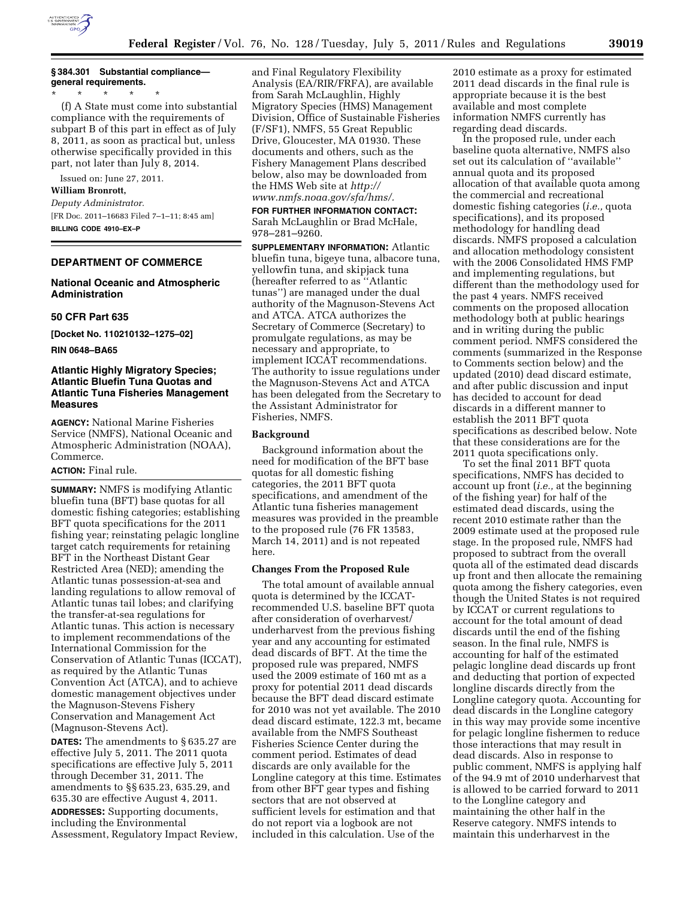

## **§ 384.301 Substantial compliance general requirements.**

\* \* \* \* \*

(f) A State must come into substantial compliance with the requirements of subpart B of this part in effect as of July 8, 2011, as soon as practical but, unless otherwise specifically provided in this part, not later than July 8, 2014.

Issued on: June 27, 2011.

### **William Bronrott,**

*Deputy Administrator.*  [FR Doc. 2011–16683 Filed 7–1–11; 8:45 am] **BILLING CODE 4910–EX–P** 

## **DEPARTMENT OF COMMERCE**

### **National Oceanic and Atmospheric Administration**

### **50 CFR Part 635**

**[Docket No. 110210132–1275–02]** 

#### **RIN 0648–BA65**

# **Atlantic Highly Migratory Species; Atlantic Bluefin Tuna Quotas and Atlantic Tuna Fisheries Management Measures**

**AGENCY:** National Marine Fisheries Service (NMFS), National Oceanic and Atmospheric Administration (NOAA), Commerce.

### **ACTION:** Final rule.

**SUMMARY:** NMFS is modifying Atlantic bluefin tuna (BFT) base quotas for all domestic fishing categories; establishing BFT quota specifications for the 2011 fishing year; reinstating pelagic longline target catch requirements for retaining BFT in the Northeast Distant Gear Restricted Area (NED); amending the Atlantic tunas possession-at-sea and landing regulations to allow removal of Atlantic tunas tail lobes; and clarifying the transfer-at-sea regulations for Atlantic tunas. This action is necessary to implement recommendations of the International Commission for the Conservation of Atlantic Tunas (ICCAT), as required by the Atlantic Tunas Convention Act (ATCA), and to achieve domestic management objectives under the Magnuson-Stevens Fishery Conservation and Management Act (Magnuson-Stevens Act).

**DATES:** The amendments to § 635.27 are effective July 5, 2011. The 2011 quota specifications are effective July 5, 2011 through December 31, 2011. The amendments to §§ 635.23, 635.29, and 635.30 are effective August 4, 2011.

**ADDRESSES:** Supporting documents, including the Environmental Assessment, Regulatory Impact Review,

and Final Regulatory Flexibility Analysis (EA/RIR/FRFA), are available from Sarah McLaughlin, Highly Migratory Species (HMS) Management Division, Office of Sustainable Fisheries (F/SF1), NMFS, 55 Great Republic Drive, Gloucester, MA 01930. These documents and others, such as the Fishery Management Plans described below, also may be downloaded from the HMS Web site at *[http://](http://www.nmfs.noaa.gov/sfa/hms/) [www.nmfs.noaa.gov/sfa/hms/.](http://www.nmfs.noaa.gov/sfa/hms/)* 

**FOR FURTHER INFORMATION CONTACT:**  Sarah McLaughlin or Brad McHale, 978–281–9260.

**SUPPLEMENTARY INFORMATION:** Atlantic bluefin tuna, bigeye tuna, albacore tuna, yellowfin tuna, and skipjack tuna (hereafter referred to as ''Atlantic tunas'') are managed under the dual authority of the Magnuson-Stevens Act and ATCA. ATCA authorizes the Secretary of Commerce (Secretary) to promulgate regulations, as may be necessary and appropriate, to implement ICCAT recommendations. The authority to issue regulations under the Magnuson-Stevens Act and ATCA has been delegated from the Secretary to the Assistant Administrator for Fisheries, NMFS.

### **Background**

Background information about the need for modification of the BFT base quotas for all domestic fishing categories, the 2011 BFT quota specifications, and amendment of the Atlantic tuna fisheries management measures was provided in the preamble to the proposed rule (76 FR 13583, March 14, 2011) and is not repeated here.

### **Changes From the Proposed Rule**

The total amount of available annual quota is determined by the ICCATrecommended U.S. baseline BFT quota after consideration of overharvest/ underharvest from the previous fishing year and any accounting for estimated dead discards of BFT. At the time the proposed rule was prepared, NMFS used the 2009 estimate of 160 mt as a proxy for potential 2011 dead discards because the BFT dead discard estimate for 2010 was not yet available. The 2010 dead discard estimate, 122.3 mt, became available from the NMFS Southeast Fisheries Science Center during the comment period. Estimates of dead discards are only available for the Longline category at this time. Estimates from other BFT gear types and fishing sectors that are not observed at sufficient levels for estimation and that do not report via a logbook are not included in this calculation. Use of the

2010 estimate as a proxy for estimated 2011 dead discards in the final rule is appropriate because it is the best available and most complete information NMFS currently has regarding dead discards.

In the proposed rule, under each baseline quota alternative, NMFS also set out its calculation of ''available'' annual quota and its proposed allocation of that available quota among the commercial and recreational domestic fishing categories (*i.e.,* quota specifications), and its proposed methodology for handling dead discards. NMFS proposed a calculation and allocation methodology consistent with the 2006 Consolidated HMS FMP and implementing regulations, but different than the methodology used for the past 4 years. NMFS received comments on the proposed allocation methodology both at public hearings and in writing during the public comment period. NMFS considered the comments (summarized in the Response to Comments section below) and the updated (2010) dead discard estimate, and after public discussion and input has decided to account for dead discards in a different manner to establish the 2011 BFT quota specifications as described below. Note that these considerations are for the 2011 quota specifications only.

To set the final 2011 BFT quota specifications, NMFS has decided to account up front (*i.e.,* at the beginning of the fishing year) for half of the estimated dead discards, using the recent 2010 estimate rather than the 2009 estimate used at the proposed rule stage. In the proposed rule, NMFS had proposed to subtract from the overall quota all of the estimated dead discards up front and then allocate the remaining quota among the fishery categories, even though the United States is not required by ICCAT or current regulations to account for the total amount of dead discards until the end of the fishing season. In the final rule, NMFS is accounting for half of the estimated pelagic longline dead discards up front and deducting that portion of expected longline discards directly from the Longline category quota. Accounting for dead discards in the Longline category in this way may provide some incentive for pelagic longline fishermen to reduce those interactions that may result in dead discards. Also in response to public comment, NMFS is applying half of the 94.9 mt of 2010 underharvest that is allowed to be carried forward to 2011 to the Longline category and maintaining the other half in the Reserve category. NMFS intends to maintain this underharvest in the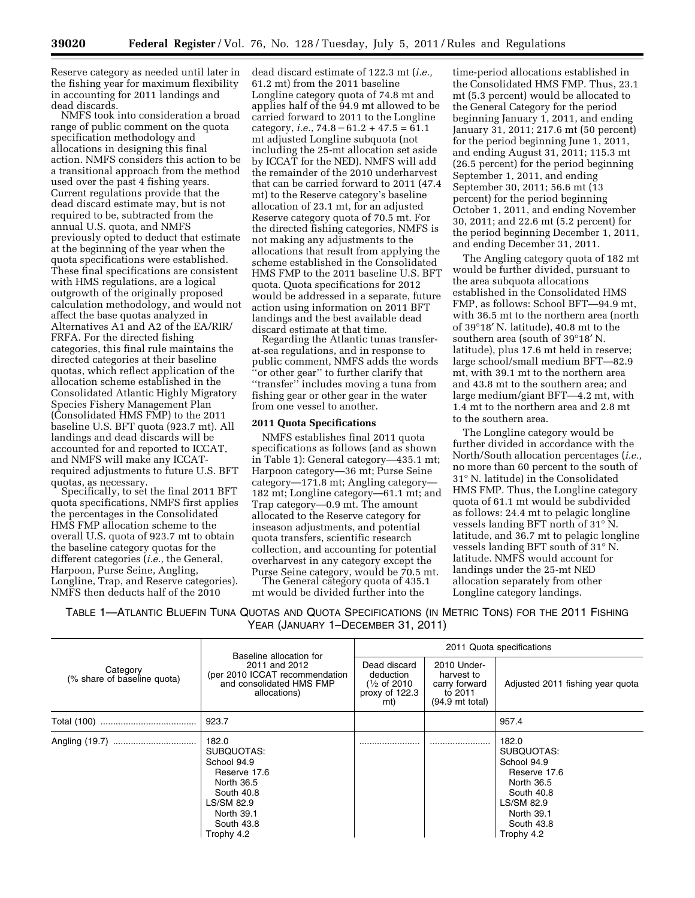Reserve category as needed until later in the fishing year for maximum flexibility in accounting for 2011 landings and dead discards.

NMFS took into consideration a broad range of public comment on the quota specification methodology and allocations in designing this final action. NMFS considers this action to be a transitional approach from the method used over the past 4 fishing years. Current regulations provide that the dead discard estimate may, but is not required to be, subtracted from the annual U.S. quota, and NMFS previously opted to deduct that estimate at the beginning of the year when the quota specifications were established. These final specifications are consistent with HMS regulations, are a logical outgrowth of the originally proposed calculation methodology, and would not affect the base quotas analyzed in Alternatives A1 and A2 of the EA/RIR/ FRFA. For the directed fishing categories, this final rule maintains the directed categories at their baseline quotas, which reflect application of the allocation scheme established in the Consolidated Atlantic Highly Migratory Species Fishery Management Plan (Consolidated HMS FMP) to the 2011 baseline U.S. BFT quota (923.7 mt). All landings and dead discards will be accounted for and reported to ICCAT, and NMFS will make any ICCATrequired adjustments to future U.S. BFT<br>quotas, as necessary.

Specifically, to set the final 2011 BFT quota specifications, NMFS first applies the percentages in the Consolidated HMS FMP allocation scheme to the overall U.S. quota of 923.7 mt to obtain the baseline category quotas for the different categories (*i.e.,* the General, Harpoon, Purse Seine, Angling, Longline, Trap, and Reserve categories). NMFS then deducts half of the 2010

dead discard estimate of 122.3 mt (*i.e.,*  61.2 mt) from the 2011 baseline Longline category quota of 74.8 mt and applies half of the 94.9 mt allowed to be carried forward to 2011 to the Longline category, *i.e.*,  $74.8 - 61.2 + 47.5 = 61.1$ mt adjusted Longline subquota (not including the 25-mt allocation set aside by ICCAT for the NED). NMFS will add the remainder of the 2010 underharvest that can be carried forward to 2011 (47.4 mt) to the Reserve category's baseline allocation of 23.1 mt, for an adjusted Reserve category quota of 70.5 mt. For the directed fishing categories, NMFS is not making any adjustments to the allocations that result from applying the scheme established in the Consolidated HMS FMP to the 2011 baseline U.S. BFT quota. Quota specifications for 2012 would be addressed in a separate, future action using information on 2011 BFT landings and the best available dead discard estimate at that time.

Regarding the Atlantic tunas transferat-sea regulations, and in response to public comment, NMFS adds the words ''or other gear'' to further clarify that ''transfer'' includes moving a tuna from fishing gear or other gear in the water from one vessel to another.

### **2011 Quota Specifications**

NMFS establishes final 2011 quota specifications as follows (and as shown in Table 1): General category—435.1 mt; Harpoon category—36 mt; Purse Seine category—171.8 mt; Angling category— 182 mt; Longline category—61.1 mt; and Trap category—0.9 mt. The amount allocated to the Reserve category for inseason adjustments, and potential quota transfers, scientific research collection, and accounting for potential overharvest in any category except the Purse Seine category, would be 70.5 mt. The General category quota of 435.1

mt would be divided further into the

time-period allocations established in the Consolidated HMS FMP. Thus, 23.1 mt (5.3 percent) would be allocated to the General Category for the period beginning January 1, 2011, and ending January 31, 2011; 217.6 mt (50 percent) for the period beginning June 1, 2011, and ending August 31, 2011; 115.3 mt (26.5 percent) for the period beginning September 1, 2011, and ending September 30, 2011; 56.6 mt (13 percent) for the period beginning October 1, 2011, and ending November 30, 2011; and 22.6 mt (5.2 percent) for the period beginning December 1, 2011, and ending December 31, 2011.

The Angling category quota of 182 mt would be further divided, pursuant to the area subquota allocations established in the Consolidated HMS FMP, as follows: School BFT—94.9 mt, with 36.5 mt to the northern area (north of 39°18′ N. latitude), 40.8 mt to the southern area (south of 39°18′ N. latitude), plus 17.6 mt held in reserve; large school/small medium BFT—82.9 mt, with 39.1 mt to the northern area and 43.8 mt to the southern area; and large medium/giant BFT—4.2 mt, with 1.4 mt to the northern area and 2.8 mt to the southern area.

The Longline category would be further divided in accordance with the North/South allocation percentages (*i.e.,*  no more than 60 percent to the south of 31° N. latitude) in the Consolidated HMS FMP. Thus, the Longline category quota of 61.1 mt would be subdivided as follows: 24.4 mt to pelagic longline vessels landing BFT north of 31° N. latitude, and 36.7 mt to pelagic longline vessels landing BFT south of 31° N. latitude. NMFS would account for landings under the 25-mt NED allocation separately from other Longline category landings.

TABLE 1—ATLANTIC BLUEFIN TUNA QUOTAS AND QUOTA SPECIFICATIONS (IN METRIC TONS) FOR THE 2011 FISHING YEAR (JANUARY 1–DECEMBER 31, 2011)

| Category<br>(% share of baseline quota) | Baseline allocation for<br>2011 and 2012<br>(per 2010 ICCAT recommendation<br>and consolidated HMS FMP<br>allocations)                        | 2011 Quota specifications                                                   |                                                                                    |                                                                                                                                               |
|-----------------------------------------|-----------------------------------------------------------------------------------------------------------------------------------------------|-----------------------------------------------------------------------------|------------------------------------------------------------------------------------|-----------------------------------------------------------------------------------------------------------------------------------------------|
|                                         |                                                                                                                                               | Dead discard<br>deduction<br>$\frac{1}{2}$ of 2010<br>proxy of 122.3<br>mt) | 2010 Under-<br>harvest to<br>carry forward<br>to 2011<br>$(94.9 \text{ mt total})$ | Adjusted 2011 fishing year quota                                                                                                              |
|                                         | 923.7                                                                                                                                         |                                                                             |                                                                                    | 957.4                                                                                                                                         |
|                                         | 182.0<br>SUBQUOTAS:<br>School 94.9<br>Reserve 17.6<br>North 36.5<br>South 40.8<br>LS/SM 82.9<br><b>North 39.1</b><br>South 43.8<br>Trophy 4.2 |                                                                             |                                                                                    | 182.0<br>SUBQUOTAS:<br>School 94.9<br>Reserve 17.6<br>North 36.5<br>South 40.8<br>LS/SM 82.9<br><b>North 39.1</b><br>South 43.8<br>Trophy 4.2 |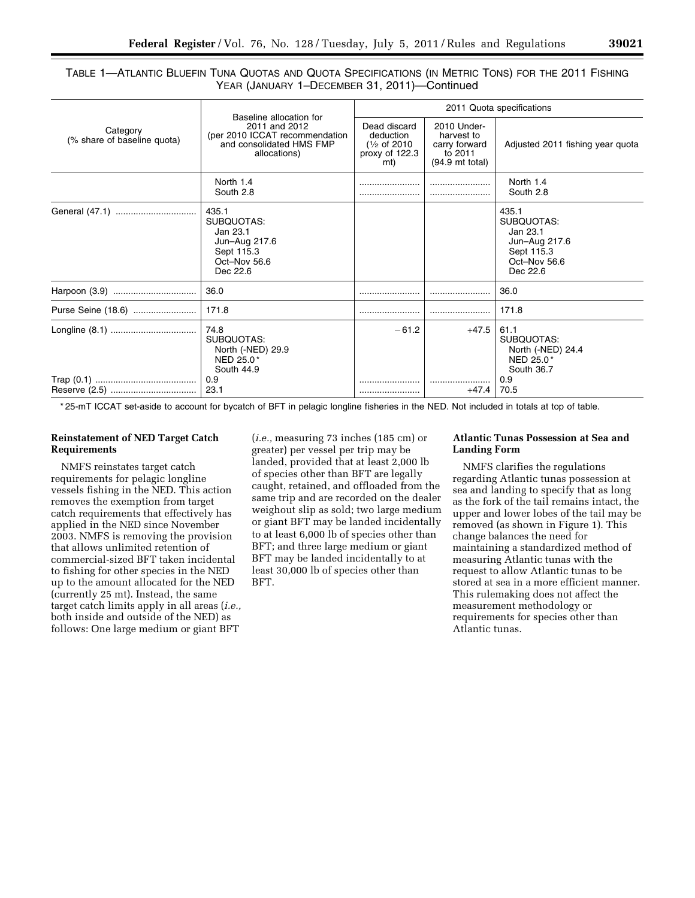# TABLE 1—ATLANTIC BLUEFIN TUNA QUOTAS AND QUOTA SPECIFICATIONS (IN METRIC TONS) FOR THE 2011 FISHING YEAR (JANUARY 1–DECEMBER 31, 2011)—Continued

| Category<br>(% share of baseline quota) | Baseline allocation for<br>2011 and 2012<br>(per 2010 ICCAT recommendation<br>and consolidated HMS FMP<br>allocations) | 2011 Quota specifications                                                     |                                                                                    |                                                                                            |  |
|-----------------------------------------|------------------------------------------------------------------------------------------------------------------------|-------------------------------------------------------------------------------|------------------------------------------------------------------------------------|--------------------------------------------------------------------------------------------|--|
|                                         |                                                                                                                        | Dead discard<br>deduction<br>$\frac{1}{2}$ of 2010<br>proxy of $122.3$<br>mt) | 2010 Under-<br>harvest to<br>carry forward<br>to 2011<br>$(94.9 \text{ mt total})$ | Adjusted 2011 fishing year quota                                                           |  |
|                                         | North 1.4<br>South 2.8                                                                                                 |                                                                               |                                                                                    | North 1.4<br>South 2.8                                                                     |  |
|                                         | 435.1<br>SUBQUOTAS:<br>Jan 23.1<br>Jun-Aug 217.6<br>Sept 115.3<br>Oct-Nov 56.6<br>Dec 22.6                             |                                                                               |                                                                                    | 435.1<br>SUBQUOTAS:<br>Jan 23.1<br>Jun-Aug 217.6<br>Sept 115.3<br>Oct-Nov 56.6<br>Dec 22.6 |  |
|                                         | 36.0                                                                                                                   |                                                                               |                                                                                    | 36.0                                                                                       |  |
| Purse Seine (18.6)                      | 171.8                                                                                                                  |                                                                               |                                                                                    | 171.8                                                                                      |  |
|                                         | 74.8<br>SUBQUOTAS:<br>North (-NED) 29.9<br>NED 25.0*<br>South 44.9<br>0.9                                              | $-61.2$                                                                       | $+47.5$                                                                            | 61.1<br>SUBQUOTAS:<br>North (-NED) 24.4<br>NED 25.0*<br>South 36.7<br>0.9                  |  |
|                                         | 23.1                                                                                                                   |                                                                               | $+47.4$                                                                            | 70.5                                                                                       |  |

\* 25-mT ICCAT set-aside to account for bycatch of BFT in pelagic longline fisheries in the NED. Not included in totals at top of table.

# **Reinstatement of NED Target Catch Requirements**

NMFS reinstates target catch requirements for pelagic longline vessels fishing in the NED. This action removes the exemption from target catch requirements that effectively has applied in the NED since November 2003. NMFS is removing the provision that allows unlimited retention of commercial-sized BFT taken incidental to fishing for other species in the NED up to the amount allocated for the NED (currently 25 mt). Instead, the same target catch limits apply in all areas (*i.e.,*  both inside and outside of the NED) as follows: One large medium or giant BFT

(*i.e.,* measuring 73 inches (185 cm) or greater) per vessel per trip may be landed, provided that at least 2,000 lb of species other than BFT are legally caught, retained, and offloaded from the same trip and are recorded on the dealer weighout slip as sold; two large medium or giant BFT may be landed incidentally to at least 6,000 lb of species other than BFT; and three large medium or giant BFT may be landed incidentally to at least 30,000 lb of species other than BFT.

# **Atlantic Tunas Possession at Sea and Landing Form**

NMFS clarifies the regulations regarding Atlantic tunas possession at sea and landing to specify that as long as the fork of the tail remains intact, the upper and lower lobes of the tail may be removed (as shown in Figure 1). This change balances the need for maintaining a standardized method of measuring Atlantic tunas with the request to allow Atlantic tunas to be stored at sea in a more efficient manner. This rulemaking does not affect the measurement methodology or requirements for species other than Atlantic tunas.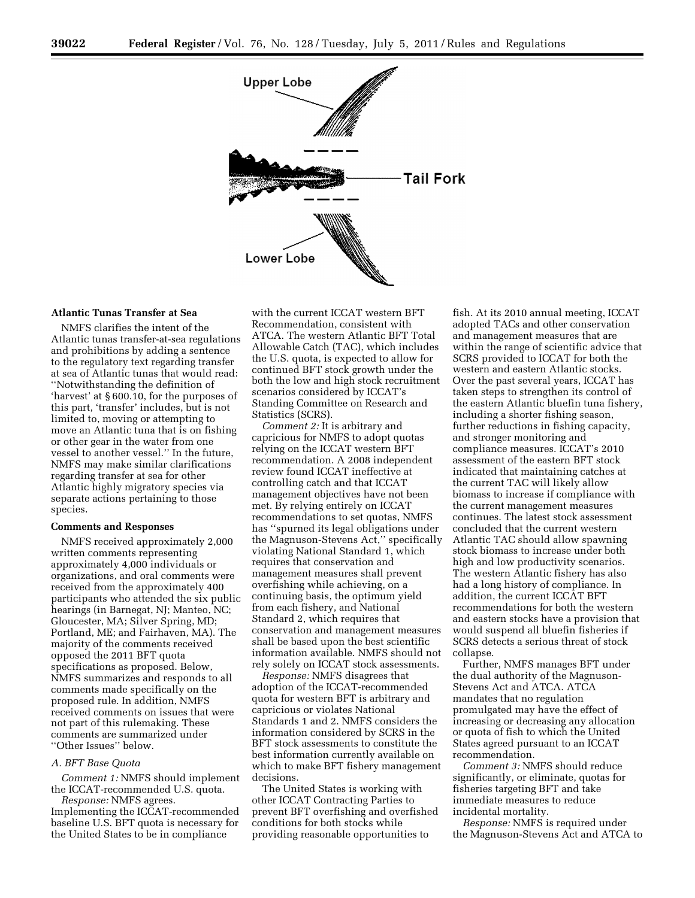

## **Atlantic Tunas Transfer at Sea**

NMFS clarifies the intent of the Atlantic tunas transfer-at-sea regulations and prohibitions by adding a sentence to the regulatory text regarding transfer at sea of Atlantic tunas that would read: ''Notwithstanding the definition of 'harvest' at § 600.10, for the purposes of this part, 'transfer' includes, but is not limited to, moving or attempting to move an Atlantic tuna that is on fishing or other gear in the water from one vessel to another vessel.'' In the future, NMFS may make similar clarifications regarding transfer at sea for other Atlantic highly migratory species via separate actions pertaining to those species.

### **Comments and Responses**

NMFS received approximately 2,000 written comments representing approximately 4,000 individuals or organizations, and oral comments were received from the approximately 400 participants who attended the six public hearings (in Barnegat, NJ; Manteo, NC; Gloucester, MA; Silver Spring, MD; Portland, ME; and Fairhaven, MA). The majority of the comments received opposed the 2011 BFT quota specifications as proposed. Below, NMFS summarizes and responds to all comments made specifically on the proposed rule. In addition, NMFS received comments on issues that were not part of this rulemaking. These comments are summarized under ''Other Issues'' below.

#### *A. BFT Base Quota*

*Comment 1:* NMFS should implement the ICCAT-recommended U.S. quota.

*Response:* NMFS agrees. Implementing the ICCAT-recommended baseline U.S. BFT quota is necessary for the United States to be in compliance

with the current ICCAT western BFT Recommendation, consistent with ATCA. The western Atlantic BFT Total Allowable Catch (TAC), which includes the U.S. quota, is expected to allow for continued BFT stock growth under the both the low and high stock recruitment scenarios considered by ICCAT's Standing Committee on Research and Statistics (SCRS).

*Comment 2:* It is arbitrary and capricious for NMFS to adopt quotas relying on the ICCAT western BFT recommendation. A 2008 independent review found ICCAT ineffective at controlling catch and that ICCAT management objectives have not been met. By relying entirely on ICCAT recommendations to set quotas, NMFS has ''spurned its legal obligations under the Magnuson-Stevens Act,'' specifically violating National Standard 1, which requires that conservation and management measures shall prevent overfishing while achieving, on a continuing basis, the optimum yield from each fishery, and National Standard 2, which requires that conservation and management measures shall be based upon the best scientific information available. NMFS should not rely solely on ICCAT stock assessments.

*Response:* NMFS disagrees that adoption of the ICCAT-recommended quota for western BFT is arbitrary and capricious or violates National Standards 1 and 2. NMFS considers the information considered by SCRS in the BFT stock assessments to constitute the best information currently available on which to make BFT fishery management decisions.

The United States is working with other ICCAT Contracting Parties to prevent BFT overfishing and overfished conditions for both stocks while providing reasonable opportunities to

fish. At its 2010 annual meeting, ICCAT adopted TACs and other conservation and management measures that are within the range of scientific advice that SCRS provided to ICCAT for both the western and eastern Atlantic stocks. Over the past several years, ICCAT has taken steps to strengthen its control of the eastern Atlantic bluefin tuna fishery, including a shorter fishing season, further reductions in fishing capacity, and stronger monitoring and compliance measures. ICCAT's 2010 assessment of the eastern BFT stock indicated that maintaining catches at the current TAC will likely allow biomass to increase if compliance with the current management measures continues. The latest stock assessment concluded that the current western Atlantic TAC should allow spawning stock biomass to increase under both high and low productivity scenarios. The western Atlantic fishery has also had a long history of compliance. In addition, the current ICCAT BFT recommendations for both the western and eastern stocks have a provision that would suspend all bluefin fisheries if SCRS detects a serious threat of stock collapse.

Further, NMFS manages BFT under the dual authority of the Magnuson-Stevens Act and ATCA. ATCA mandates that no regulation promulgated may have the effect of increasing or decreasing any allocation or quota of fish to which the United States agreed pursuant to an ICCAT recommendation.

*Comment 3:* NMFS should reduce significantly, or eliminate, quotas for fisheries targeting BFT and take immediate measures to reduce incidental mortality.

*Response:* NMFS is required under the Magnuson-Stevens Act and ATCA to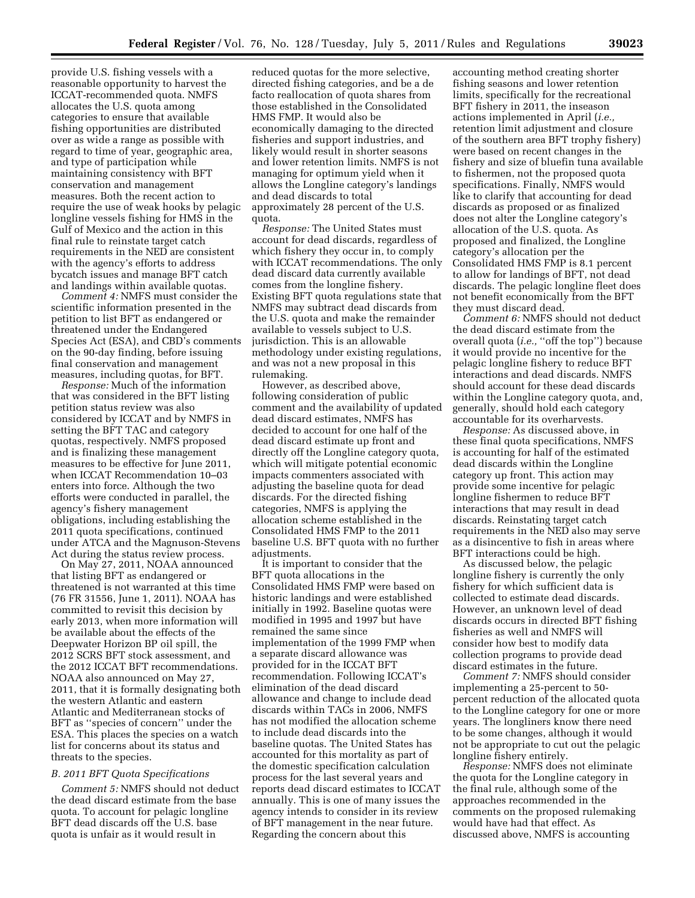provide U.S. fishing vessels with a reasonable opportunity to harvest the ICCAT-recommended quota. NMFS allocates the U.S. quota among categories to ensure that available fishing opportunities are distributed over as wide a range as possible with regard to time of year, geographic area, and type of participation while maintaining consistency with BFT conservation and management measures. Both the recent action to require the use of weak hooks by pelagic longline vessels fishing for HMS in the Gulf of Mexico and the action in this final rule to reinstate target catch requirements in the NED are consistent with the agency's efforts to address bycatch issues and manage BFT catch and landings within available quotas.

*Comment 4:* NMFS must consider the scientific information presented in the petition to list BFT as endangered or threatened under the Endangered Species Act (ESA), and CBD's comments on the 90-day finding, before issuing final conservation and management measures, including quotas, for BFT.

*Response:* Much of the information that was considered in the BFT listing petition status review was also considered by ICCAT and by NMFS in setting the BFT TAC and category quotas, respectively. NMFS proposed and is finalizing these management measures to be effective for June 2011, when ICCAT Recommendation 10–03 enters into force. Although the two efforts were conducted in parallel, the agency's fishery management obligations, including establishing the 2011 quota specifications, continued under ATCA and the Magnuson-Stevens Act during the status review process.

On May 27, 2011, NOAA announced that listing BFT as endangered or threatened is not warranted at this time (76 FR 31556, June 1, 2011). NOAA has committed to revisit this decision by early 2013, when more information will be available about the effects of the Deepwater Horizon BP oil spill, the 2012 SCRS BFT stock assessment, and the 2012 ICCAT BFT recommendations. NOAA also announced on May 27, 2011, that it is formally designating both the western Atlantic and eastern Atlantic and Mediterranean stocks of BFT as ''species of concern'' under the ESA. This places the species on a watch list for concerns about its status and threats to the species.

#### *B. 2011 BFT Quota Specifications*

*Comment 5:* NMFS should not deduct the dead discard estimate from the base quota. To account for pelagic longline BFT dead discards off the U.S. base quota is unfair as it would result in

reduced quotas for the more selective, directed fishing categories, and be a de facto reallocation of quota shares from those established in the Consolidated HMS FMP. It would also be economically damaging to the directed fisheries and support industries, and likely would result in shorter seasons and lower retention limits. NMFS is not managing for optimum yield when it allows the Longline category's landings and dead discards to total approximately 28 percent of the U.S. quota.

*Response:* The United States must account for dead discards, regardless of which fishery they occur in, to comply with ICCAT recommendations. The only dead discard data currently available comes from the longline fishery. Existing BFT quota regulations state that NMFS may subtract dead discards from the U.S. quota and make the remainder available to vessels subject to U.S. jurisdiction. This is an allowable methodology under existing regulations, and was not a new proposal in this rulemaking.

However, as described above, following consideration of public comment and the availability of updated dead discard estimates, NMFS has decided to account for one half of the dead discard estimate up front and directly off the Longline category quota, which will mitigate potential economic impacts commenters associated with adjusting the baseline quota for dead discards. For the directed fishing categories, NMFS is applying the allocation scheme established in the Consolidated HMS FMP to the 2011 baseline U.S. BFT quota with no further adjustments.

It is important to consider that the BFT quota allocations in the Consolidated HMS FMP were based on historic landings and were established initially in 1992. Baseline quotas were modified in 1995 and 1997 but have remained the same since implementation of the 1999 FMP when a separate discard allowance was provided for in the ICCAT BFT recommendation. Following ICCAT's elimination of the dead discard allowance and change to include dead discards within TACs in 2006, NMFS has not modified the allocation scheme to include dead discards into the baseline quotas. The United States has accounted for this mortality as part of the domestic specification calculation process for the last several years and reports dead discard estimates to ICCAT annually. This is one of many issues the agency intends to consider in its review of BFT management in the near future. Regarding the concern about this

accounting method creating shorter fishing seasons and lower retention limits, specifically for the recreational BFT fishery in 2011, the inseason actions implemented in April (*i.e.,*  retention limit adjustment and closure of the southern area BFT trophy fishery) were based on recent changes in the fishery and size of bluefin tuna available to fishermen, not the proposed quota specifications. Finally, NMFS would like to clarify that accounting for dead discards as proposed or as finalized does not alter the Longline category's allocation of the U.S. quota. As proposed and finalized, the Longline category's allocation per the Consolidated HMS FMP is 8.1 percent to allow for landings of BFT, not dead discards. The pelagic longline fleet does not benefit economically from the BFT they must discard dead.

*Comment 6:* NMFS should not deduct the dead discard estimate from the overall quota (*i.e.*, "off the top") because it would provide no incentive for the pelagic longline fishery to reduce BFT interactions and dead discards. NMFS should account for these dead discards within the Longline category quota, and, generally, should hold each category accountable for its overharvests.

*Response:* As discussed above, in these final quota specifications, NMFS is accounting for half of the estimated dead discards within the Longline category up front. This action may provide some incentive for pelagic longline fishermen to reduce BFT interactions that may result in dead discards. Reinstating target catch requirements in the NED also may serve as a disincentive to fish in areas where BFT interactions could be high.

As discussed below, the pelagic longline fishery is currently the only fishery for which sufficient data is collected to estimate dead discards. However, an unknown level of dead discards occurs in directed BFT fishing fisheries as well and NMFS will consider how best to modify data collection programs to provide dead discard estimates in the future.

*Comment 7:* NMFS should consider implementing a 25-percent to 50 percent reduction of the allocated quota to the Longline category for one or more years. The longliners know there need to be some changes, although it would not be appropriate to cut out the pelagic longline fishery entirely.

*Response:* NMFS does not eliminate the quota for the Longline category in the final rule, although some of the approaches recommended in the comments on the proposed rulemaking would have had that effect. As discussed above, NMFS is accounting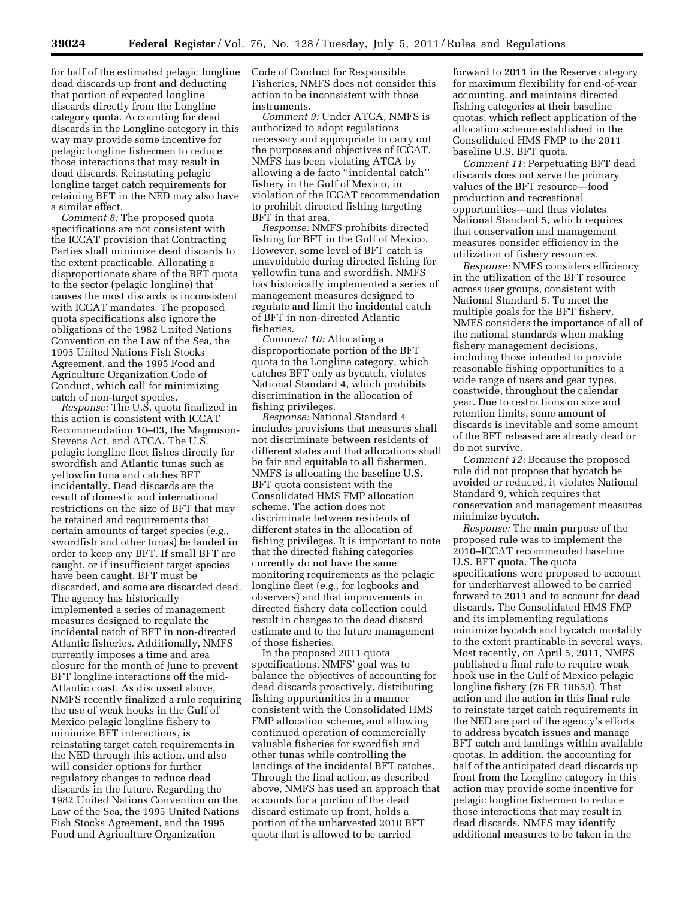for half of the estimated pelagic longline dead discards up front and deducting that portion of expected longline discards directly from the Longline category quota. Accounting for dead discards in the Longline category in this way may provide some incentive for pelagic longline fishermen to reduce those interactions that may result in dead discards. Reinstating pelagic longline target catch requirements for retaining BFT in the NED may also have a similar effect.

*Comment 8:* The proposed quota specifications are not consistent with the ICCAT provision that Contracting Parties shall minimize dead discards to the extent practicable. Allocating a disproportionate share of the BFT quota to the sector (pelagic longline) that causes the most discards is inconsistent with ICCAT mandates. The proposed quota specifications also ignore the obligations of the 1982 United Nations Convention on the Law of the Sea, the 1995 United Nations Fish Stocks Agreement, and the 1995 Food and Agriculture Organization Code of Conduct, which call for minimizing catch of non-target species.

*Response:* The U.S. quota finalized in this action is consistent with ICCAT Recommendation 10–03, the Magnuson-Stevens Act, and ATCA. The U.S. pelagic longline fleet fishes directly for swordfish and Atlantic tunas such as yellowfin tuna and catches BFT incidentally. Dead discards are the result of domestic and international restrictions on the size of BFT that may be retained and requirements that certain amounts of target species (*e.g.,*  swordfish and other tunas) be landed in order to keep any BFT. If small BFT are caught, or if insufficient target species have been caught, BFT must be discarded, and some are discarded dead. The agency has historically implemented a series of management measures designed to regulate the incidental catch of BFT in non-directed Atlantic fisheries. Additionally, NMFS currently imposes a time and area closure for the month of June to prevent BFT longline interactions off the mid-Atlantic coast. As discussed above, NMFS recently finalized a rule requiring the use of weak hooks in the Gulf of Mexico pelagic longline fishery to minimize BFT interactions, is reinstating target catch requirements in the NED through this action, and also will consider options for further regulatory changes to reduce dead discards in the future. Regarding the 1982 United Nations Convention on the Law of the Sea, the 1995 United Nations Fish Stocks Agreement, and the 1995 Food and Agriculture Organization

Code of Conduct for Responsible Fisheries, NMFS does not consider this action to be inconsistent with those instruments.

*Comment 9:* Under ATCA, NMFS is authorized to adopt regulations necessary and appropriate to carry out the purposes and objectives of ICCAT. NMFS has been violating ATCA by allowing a de facto ''incidental catch'' fishery in the Gulf of Mexico, in violation of the ICCAT recommendation to prohibit directed fishing targeting BFT in that area.

*Response:* NMFS prohibits directed fishing for BFT in the Gulf of Mexico. However, some level of BFT catch is unavoidable during directed fishing for yellowfin tuna and swordfish. NMFS has historically implemented a series of management measures designed to regulate and limit the incidental catch of BFT in non-directed Atlantic fisheries.

*Comment 10:* Allocating a disproportionate portion of the BFT quota to the Longline category, which catches BFT only as bycatch, violates National Standard 4, which prohibits discrimination in the allocation of fishing privileges.

*Response:* National Standard 4 includes provisions that measures shall not discriminate between residents of different states and that allocations shall be fair and equitable to all fishermen. NMFS is allocating the baseline U.S. BFT quota consistent with the Consolidated HMS FMP allocation scheme. The action does not discriminate between residents of different states in the allocation of fishing privileges. It is important to note that the directed fishing categories currently do not have the same monitoring requirements as the pelagic longline fleet (*e.g.,* for logbooks and observers) and that improvements in directed fishery data collection could result in changes to the dead discard estimate and to the future management of those fisheries.

In the proposed 2011 quota specifications, NMFS' goal was to balance the objectives of accounting for dead discards proactively, distributing fishing opportunities in a manner consistent with the Consolidated HMS FMP allocation scheme, and allowing continued operation of commercially valuable fisheries for swordfish and other tunas while controlling the landings of the incidental BFT catches. Through the final action, as described above, NMFS has used an approach that accounts for a portion of the dead discard estimate up front, holds a portion of the unharvested 2010 BFT quota that is allowed to be carried

forward to 2011 in the Reserve category for maximum flexibility for end-of-year accounting, and maintains directed fishing categories at their baseline quotas, which reflect application of the allocation scheme established in the Consolidated HMS FMP to the 2011 baseline U.S. BFT quota.

*Comment 11:* Perpetuating BFT dead discards does not serve the primary values of the BFT resource—food production and recreational opportunities—and thus violates National Standard 5, which requires that conservation and management measures consider efficiency in the utilization of fishery resources.

*Response:* NMFS considers efficiency in the utilization of the BFT resource across user groups, consistent with National Standard 5. To meet the multiple goals for the BFT fishery, NMFS considers the importance of all of the national standards when making fishery management decisions, including those intended to provide reasonable fishing opportunities to a wide range of users and gear types, coastwide, throughout the calendar year. Due to restrictions on size and retention limits, some amount of discards is inevitable and some amount of the BFT released are already dead or do not survive.

*Comment 12:* Because the proposed rule did not propose that bycatch be avoided or reduced, it violates National Standard 9, which requires that conservation and management measures minimize bycatch.

*Response:* The main purpose of the proposed rule was to implement the 2010–ICCAT recommended baseline U.S. BFT quota. The quota specifications were proposed to account for underharvest allowed to be carried forward to 2011 and to account for dead discards. The Consolidated HMS FMP and its implementing regulations minimize bycatch and bycatch mortality to the extent practicable in several ways. Most recently, on April 5, 2011, NMFS published a final rule to require weak hook use in the Gulf of Mexico pelagic longline fishery (76 FR 18653). That action and the action in this final rule to reinstate target catch requirements in the NED are part of the agency's efforts to address bycatch issues and manage BFT catch and landings within available quotas. In addition, the accounting for half of the anticipated dead discards up front from the Longline category in this action may provide some incentive for pelagic longline fishermen to reduce those interactions that may result in dead discards. NMFS may identify additional measures to be taken in the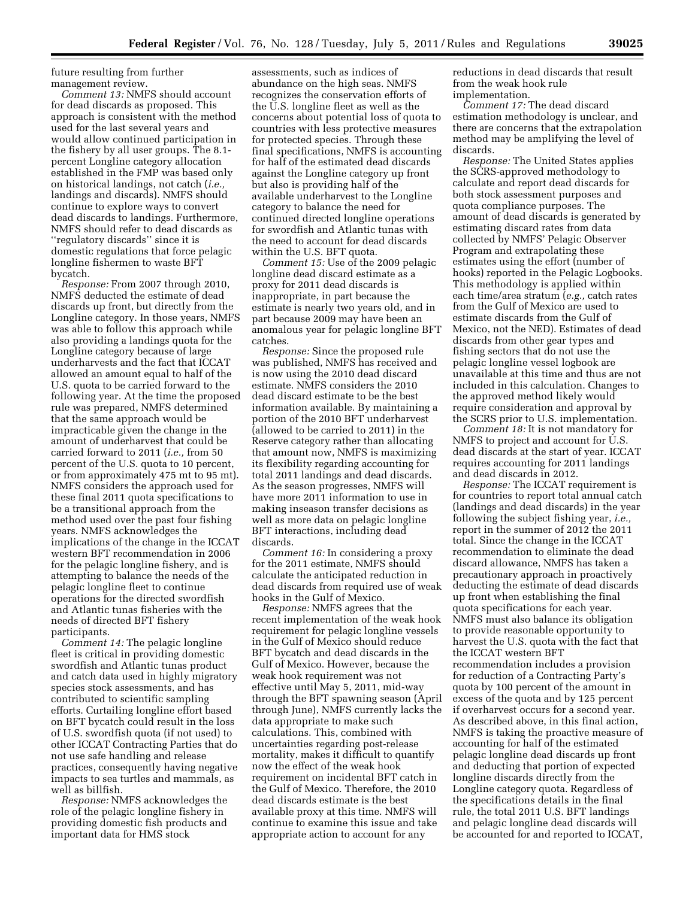future resulting from further management review.

*Comment 13:* NMFS should account for dead discards as proposed. This approach is consistent with the method used for the last several years and would allow continued participation in the fishery by all user groups. The 8.1 percent Longline category allocation established in the FMP was based only on historical landings, not catch (*i.e.,*  landings and discards). NMFS should continue to explore ways to convert dead discards to landings. Furthermore, NMFS should refer to dead discards as ''regulatory discards'' since it is domestic regulations that force pelagic longline fishermen to waste BFT bycatch.

*Response:* From 2007 through 2010, NMFS deducted the estimate of dead discards up front, but directly from the Longline category. In those years, NMFS was able to follow this approach while also providing a landings quota for the Longline category because of large underharvests and the fact that ICCAT allowed an amount equal to half of the U.S. quota to be carried forward to the following year. At the time the proposed rule was prepared, NMFS determined that the same approach would be impracticable given the change in the amount of underharvest that could be carried forward to 2011 (*i.e.,* from 50 percent of the U.S. quota to 10 percent, or from approximately 475 mt to 95 mt). NMFS considers the approach used for these final 2011 quota specifications to be a transitional approach from the method used over the past four fishing years. NMFS acknowledges the implications of the change in the ICCAT western BFT recommendation in 2006 for the pelagic longline fishery, and is attempting to balance the needs of the pelagic longline fleet to continue operations for the directed swordfish and Atlantic tunas fisheries with the needs of directed BFT fishery participants.

*Comment 14:* The pelagic longline fleet is critical in providing domestic swordfish and Atlantic tunas product and catch data used in highly migratory species stock assessments, and has contributed to scientific sampling efforts. Curtailing longline effort based on BFT bycatch could result in the loss of U.S. swordfish quota (if not used) to other ICCAT Contracting Parties that do not use safe handling and release practices, consequently having negative impacts to sea turtles and mammals, as well as billfish.

*Response:* NMFS acknowledges the role of the pelagic longline fishery in providing domestic fish products and important data for HMS stock

assessments, such as indices of abundance on the high seas. NMFS recognizes the conservation efforts of the U.S. longline fleet as well as the concerns about potential loss of quota to countries with less protective measures for protected species. Through these final specifications, NMFS is accounting for half of the estimated dead discards against the Longline category up front but also is providing half of the available underharvest to the Longline category to balance the need for continued directed longline operations for swordfish and Atlantic tunas with the need to account for dead discards within the U.S. BFT quota.

*Comment 15:* Use of the 2009 pelagic longline dead discard estimate as a proxy for 2011 dead discards is inappropriate, in part because the estimate is nearly two years old, and in part because 2009 may have been an anomalous year for pelagic longline BFT catches.

*Response:* Since the proposed rule was published, NMFS has received and is now using the 2010 dead discard estimate. NMFS considers the 2010 dead discard estimate to be the best information available. By maintaining a portion of the 2010 BFT underharvest (allowed to be carried to 2011) in the Reserve category rather than allocating that amount now, NMFS is maximizing its flexibility regarding accounting for total 2011 landings and dead discards. As the season progresses, NMFS will have more 2011 information to use in making inseason transfer decisions as well as more data on pelagic longline BFT interactions, including dead discards.

*Comment 16:* In considering a proxy for the 2011 estimate, NMFS should calculate the anticipated reduction in dead discards from required use of weak hooks in the Gulf of Mexico.

*Response:* NMFS agrees that the recent implementation of the weak hook requirement for pelagic longline vessels in the Gulf of Mexico should reduce BFT bycatch and dead discards in the Gulf of Mexico. However, because the weak hook requirement was not effective until May 5, 2011, mid-way through the BFT spawning season (April through June), NMFS currently lacks the data appropriate to make such calculations. This, combined with uncertainties regarding post-release mortality, makes it difficult to quantify now the effect of the weak hook requirement on incidental BFT catch in the Gulf of Mexico. Therefore, the 2010 dead discards estimate is the best available proxy at this time. NMFS will continue to examine this issue and take appropriate action to account for any

reductions in dead discards that result from the weak hook rule implementation.

*Comment 17:* The dead discard estimation methodology is unclear, and there are concerns that the extrapolation method may be amplifying the level of discards.

*Response:* The United States applies the SCRS-approved methodology to calculate and report dead discards for both stock assessment purposes and quota compliance purposes. The amount of dead discards is generated by estimating discard rates from data collected by NMFS' Pelagic Observer Program and extrapolating these estimates using the effort (number of hooks) reported in the Pelagic Logbooks. This methodology is applied within each time/area stratum (*e.g.,* catch rates from the Gulf of Mexico are used to estimate discards from the Gulf of Mexico, not the NED). Estimates of dead discards from other gear types and fishing sectors that do not use the pelagic longline vessel logbook are unavailable at this time and thus are not included in this calculation. Changes to the approved method likely would require consideration and approval by the SCRS prior to U.S. implementation.

*Comment 18:* It is not mandatory for NMFS to project and account for U.S. dead discards at the start of year. ICCAT requires accounting for 2011 landings and dead discards in 2012.

*Response:* The ICCAT requirement is for countries to report total annual catch (landings and dead discards) in the year following the subject fishing year, *i.e.,*  report in the summer of 2012 the 2011 total. Since the change in the ICCAT recommendation to eliminate the dead discard allowance, NMFS has taken a precautionary approach in proactively deducting the estimate of dead discards up front when establishing the final quota specifications for each year. NMFS must also balance its obligation to provide reasonable opportunity to harvest the U.S. quota with the fact that the ICCAT western BFT recommendation includes a provision for reduction of a Contracting Party's quota by 100 percent of the amount in excess of the quota and by 125 percent if overharvest occurs for a second year. As described above, in this final action, NMFS is taking the proactive measure of accounting for half of the estimated pelagic longline dead discards up front and deducting that portion of expected longline discards directly from the Longline category quota. Regardless of the specifications details in the final rule, the total 2011 U.S. BFT landings and pelagic longline dead discards will be accounted for and reported to ICCAT,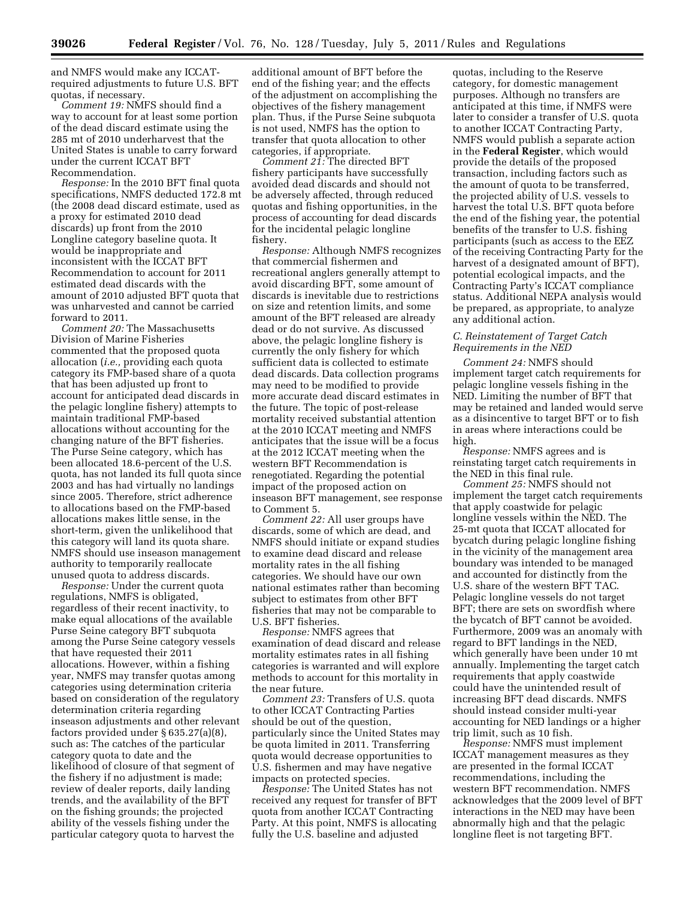and NMFS would make any ICCATrequired adjustments to future U.S. BFT quotas, if necessary.

*Comment 19:* NMFS should find a way to account for at least some portion of the dead discard estimate using the 285 mt of 2010 underharvest that the United States is unable to carry forward under the current ICCAT BFT Recommendation.

*Response:* In the 2010 BFT final quota specifications, NMFS deducted 172.8 mt (the 2008 dead discard estimate, used as a proxy for estimated 2010 dead discards) up front from the 2010 Longline category baseline quota. It would be inappropriate and inconsistent with the ICCAT BFT Recommendation to account for 2011 estimated dead discards with the amount of 2010 adjusted BFT quota that was unharvested and cannot be carried forward to 2011.

*Comment 20:* The Massachusetts Division of Marine Fisheries commented that the proposed quota allocation (*i.e.,* providing each quota category its FMP-based share of a quota that has been adjusted up front to account for anticipated dead discards in the pelagic longline fishery) attempts to maintain traditional FMP-based allocations without accounting for the changing nature of the BFT fisheries. The Purse Seine category, which has been allocated 18.6-percent of the U.S. quota, has not landed its full quota since 2003 and has had virtually no landings since 2005. Therefore, strict adherence to allocations based on the FMP-based allocations makes little sense, in the short-term, given the unlikelihood that this category will land its quota share. NMFS should use inseason management authority to temporarily reallocate unused quota to address discards.

*Response:* Under the current quota regulations, NMFS is obligated, regardless of their recent inactivity, to make equal allocations of the available Purse Seine category BFT subquota among the Purse Seine category vessels that have requested their 2011 allocations. However, within a fishing year, NMFS may transfer quotas among categories using determination criteria based on consideration of the regulatory determination criteria regarding inseason adjustments and other relevant factors provided under § 635.27(a)(8), such as: The catches of the particular category quota to date and the likelihood of closure of that segment of the fishery if no adjustment is made; review of dealer reports, daily landing trends, and the availability of the BFT on the fishing grounds; the projected ability of the vessels fishing under the particular category quota to harvest the

additional amount of BFT before the end of the fishing year; and the effects of the adjustment on accomplishing the objectives of the fishery management plan. Thus, if the Purse Seine subquota is not used, NMFS has the option to transfer that quota allocation to other categories, if appropriate.

*Comment 21:* The directed BFT fishery participants have successfully avoided dead discards and should not be adversely affected, through reduced quotas and fishing opportunities, in the process of accounting for dead discards for the incidental pelagic longline fishery.

*Response:* Although NMFS recognizes that commercial fishermen and recreational anglers generally attempt to avoid discarding BFT, some amount of discards is inevitable due to restrictions on size and retention limits, and some amount of the BFT released are already dead or do not survive. As discussed above, the pelagic longline fishery is currently the only fishery for which sufficient data is collected to estimate dead discards. Data collection programs may need to be modified to provide more accurate dead discard estimates in the future. The topic of post-release mortality received substantial attention at the 2010 ICCAT meeting and NMFS anticipates that the issue will be a focus at the 2012 ICCAT meeting when the western BFT Recommendation is renegotiated. Regarding the potential impact of the proposed action on inseason BFT management, see response to Comment 5.

*Comment 22:* All user groups have discards, some of which are dead, and NMFS should initiate or expand studies to examine dead discard and release mortality rates in the all fishing categories. We should have our own national estimates rather than becoming subject to estimates from other BFT fisheries that may not be comparable to U.S. BFT fisheries.

*Response:* NMFS agrees that examination of dead discard and release mortality estimates rates in all fishing categories is warranted and will explore methods to account for this mortality in the near future.

*Comment 23:* Transfers of U.S. quota to other ICCAT Contracting Parties should be out of the question, particularly since the United States may be quota limited in 2011. Transferring quota would decrease opportunities to U.S. fishermen and may have negative impacts on protected species.

*Response:* The United States has not received any request for transfer of BFT quota from another ICCAT Contracting Party. At this point, NMFS is allocating fully the U.S. baseline and adjusted

quotas, including to the Reserve category, for domestic management purposes. Although no transfers are anticipated at this time, if NMFS were later to consider a transfer of U.S. quota to another ICCAT Contracting Party, NMFS would publish a separate action in the **Federal Register**, which would provide the details of the proposed transaction, including factors such as the amount of quota to be transferred, the projected ability of U.S. vessels to harvest the total U.S. BFT quota before the end of the fishing year, the potential benefits of the transfer to U.S. fishing participants (such as access to the EEZ of the receiving Contracting Party for the harvest of a designated amount of BFT), potential ecological impacts, and the Contracting Party's ICCAT compliance status. Additional NEPA analysis would be prepared, as appropriate, to analyze any additional action.

# *C. Reinstatement of Target Catch Requirements in the NED*

*Comment 24:* NMFS should implement target catch requirements for pelagic longline vessels fishing in the NED. Limiting the number of BFT that may be retained and landed would serve as a disincentive to target BFT or to fish in areas where interactions could be high.

*Response:* NMFS agrees and is reinstating target catch requirements in the NED in this final rule.

*Comment 25:* NMFS should not implement the target catch requirements that apply coastwide for pelagic longline vessels within the NED. The 25-mt quota that ICCAT allocated for bycatch during pelagic longline fishing in the vicinity of the management area boundary was intended to be managed and accounted for distinctly from the U.S. share of the western BFT TAC. Pelagic longline vessels do not target BFT; there are sets on swordfish where the bycatch of BFT cannot be avoided. Furthermore, 2009 was an anomaly with regard to BFT landings in the NED, which generally have been under 10 mt annually. Implementing the target catch requirements that apply coastwide could have the unintended result of increasing BFT dead discards. NMFS should instead consider multi-year accounting for NED landings or a higher trip limit, such as 10 fish.

*Response:* NMFS must implement ICCAT management measures as they are presented in the formal ICCAT recommendations, including the western BFT recommendation. NMFS acknowledges that the 2009 level of BFT interactions in the NED may have been abnormally high and that the pelagic longline fleet is not targeting BFT.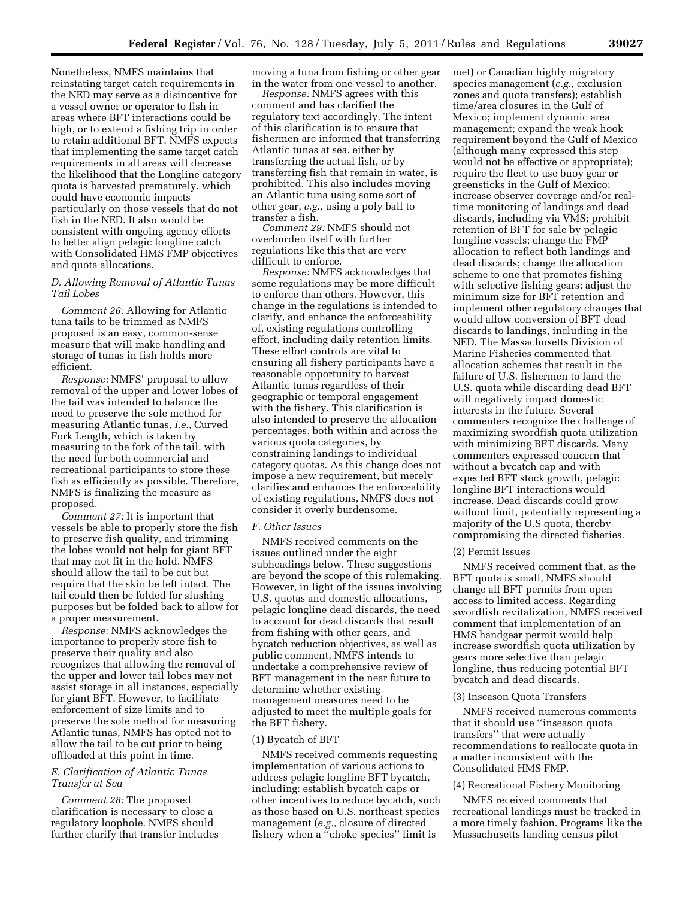Nonetheless, NMFS maintains that reinstating target catch requirements in the NED may serve as a disincentive for a vessel owner or operator to fish in areas where BFT interactions could be high, or to extend a fishing trip in order to retain additional BFT. NMFS expects that implementing the same target catch requirements in all areas will decrease the likelihood that the Longline category quota is harvested prematurely, which could have economic impacts particularly on those vessels that do not fish in the NED. It also would be consistent with ongoing agency efforts to better align pelagic longline catch with Consolidated HMS FMP objectives and quota allocations.

# *D. Allowing Removal of Atlantic Tunas Tail Lobes*

*Comment 26:* Allowing for Atlantic tuna tails to be trimmed as NMFS proposed is an easy, common-sense measure that will make handling and storage of tunas in fish holds more efficient.

*Response:* NMFS' proposal to allow removal of the upper and lower lobes of the tail was intended to balance the need to preserve the sole method for measuring Atlantic tunas, *i.e.,* Curved Fork Length, which is taken by measuring to the fork of the tail, with the need for both commercial and recreational participants to store these fish as efficiently as possible. Therefore, NMFS is finalizing the measure as proposed.

*Comment 27:* It is important that vessels be able to properly store the fish to preserve fish quality, and trimming the lobes would not help for giant BFT that may not fit in the hold. NMFS should allow the tail to be cut but require that the skin be left intact. The tail could then be folded for slushing purposes but be folded back to allow for a proper measurement.

*Response:* NMFS acknowledges the importance to properly store fish to preserve their quality and also recognizes that allowing the removal of the upper and lower tail lobes may not assist storage in all instances, especially for giant BFT. However, to facilitate enforcement of size limits and to preserve the sole method for measuring Atlantic tunas, NMFS has opted not to allow the tail to be cut prior to being offloaded at this point in time.

# *E. Clarification of Atlantic Tunas Transfer at Sea*

*Comment 28:* The proposed clarification is necessary to close a regulatory loophole. NMFS should further clarify that transfer includes moving a tuna from fishing or other gear in the water from one vessel to another.

*Response:* NMFS agrees with this comment and has clarified the regulatory text accordingly. The intent of this clarification is to ensure that fishermen are informed that transferring Atlantic tunas at sea, either by transferring the actual fish, or by transferring fish that remain in water, is prohibited. This also includes moving an Atlantic tuna using some sort of other gear, *e.g.,* using a poly ball to transfer a fish.

*Comment 29:* NMFS should not overburden itself with further regulations like this that are very difficult to enforce.

*Response:* NMFS acknowledges that some regulations may be more difficult to enforce than others. However, this change in the regulations is intended to clarify, and enhance the enforceability of, existing regulations controlling effort, including daily retention limits. These effort controls are vital to ensuring all fishery participants have a reasonable opportunity to harvest Atlantic tunas regardless of their geographic or temporal engagement with the fishery. This clarification is also intended to preserve the allocation percentages, both within and across the various quota categories, by constraining landings to individual category quotas. As this change does not impose a new requirement, but merely clarifies and enhances the enforceability of existing regulations, NMFS does not consider it overly burdensome.

#### *F. Other Issues*

NMFS received comments on the issues outlined under the eight subheadings below. These suggestions are beyond the scope of this rulemaking. However, in light of the issues involving U.S. quotas and domestic allocations, pelagic longline dead discards, the need to account for dead discards that result from fishing with other gears, and bycatch reduction objectives, as well as public comment, NMFS intends to undertake a comprehensive review of BFT management in the near future to determine whether existing management measures need to be adjusted to meet the multiple goals for the BFT fishery.

# (1) Bycatch of BFT

NMFS received comments requesting implementation of various actions to address pelagic longline BFT bycatch, including: establish bycatch caps or other incentives to reduce bycatch, such as those based on U.S. northeast species management (*e.g.,* closure of directed fishery when a ''choke species'' limit is

met) or Canadian highly migratory species management (*e.g.,* exclusion zones and quota transfers); establish time/area closures in the Gulf of Mexico; implement dynamic area management; expand the weak hook requirement beyond the Gulf of Mexico (although many expressed this step would not be effective or appropriate); require the fleet to use buoy gear or greensticks in the Gulf of Mexico; increase observer coverage and/or realtime monitoring of landings and dead discards, including via VMS; prohibit retention of BFT for sale by pelagic longline vessels; change the FMP allocation to reflect both landings and dead discards; change the allocation scheme to one that promotes fishing with selective fishing gears; adjust the minimum size for BFT retention and implement other regulatory changes that would allow conversion of BFT dead discards to landings, including in the NED. The Massachusetts Division of Marine Fisheries commented that allocation schemes that result in the failure of U.S. fishermen to land the U.S. quota while discarding dead BFT will negatively impact domestic interests in the future. Several commenters recognize the challenge of maximizing swordfish quota utilization with minimizing BFT discards. Many commenters expressed concern that without a bycatch cap and with expected BFT stock growth, pelagic longline BFT interactions would increase. Dead discards could grow without limit, potentially representing a majority of the U.S quota, thereby compromising the directed fisheries.

#### (2) Permit Issues

NMFS received comment that, as the BFT quota is small, NMFS should change all BFT permits from open access to limited access. Regarding swordfish revitalization, NMFS received comment that implementation of an HMS handgear permit would help increase swordfish quota utilization by gears more selective than pelagic longline, thus reducing potential BFT bycatch and dead discards.

#### (3) Inseason Quota Transfers

NMFS received numerous comments that it should use ''inseason quota transfers'' that were actually recommendations to reallocate quota in a matter inconsistent with the Consolidated HMS FMP.

#### (4) Recreational Fishery Monitoring

NMFS received comments that recreational landings must be tracked in a more timely fashion. Programs like the Massachusetts landing census pilot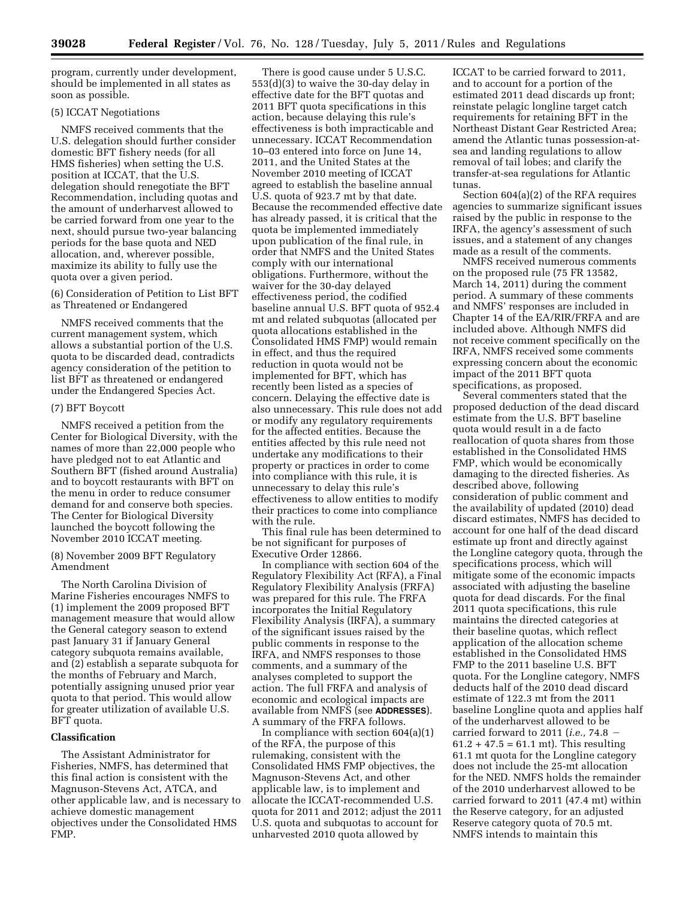program, currently under development, should be implemented in all states as soon as possible.

# (5) ICCAT Negotiations

NMFS received comments that the U.S. delegation should further consider domestic BFT fishery needs (for all HMS fisheries) when setting the U.S. position at ICCAT, that the U.S. delegation should renegotiate the BFT Recommendation, including quotas and the amount of underharvest allowed to be carried forward from one year to the next, should pursue two-year balancing periods for the base quota and NED allocation, and, wherever possible, maximize its ability to fully use the quota over a given period.

(6) Consideration of Petition to List BFT as Threatened or Endangered

NMFS received comments that the current management system, which allows a substantial portion of the U.S. quota to be discarded dead, contradicts agency consideration of the petition to list BFT as threatened or endangered under the Endangered Species Act.

## (7) BFT Boycott

NMFS received a petition from the Center for Biological Diversity, with the names of more than 22,000 people who have pledged not to eat Atlantic and Southern BFT (fished around Australia) and to boycott restaurants with BFT on the menu in order to reduce consumer demand for and conserve both species. The Center for Biological Diversity launched the boycott following the November 2010 ICCAT meeting.

(8) November 2009 BFT Regulatory Amendment

The North Carolina Division of Marine Fisheries encourages NMFS to (1) implement the 2009 proposed BFT management measure that would allow the General category season to extend past January 31 if January General category subquota remains available, and (2) establish a separate subquota for the months of February and March, potentially assigning unused prior year quota to that period. This would allow for greater utilization of available U.S. BFT quota.

# **Classification**

The Assistant Administrator for Fisheries, NMFS, has determined that this final action is consistent with the Magnuson-Stevens Act, ATCA, and other applicable law, and is necessary to achieve domestic management objectives under the Consolidated HMS FMP.

There is good cause under 5 U.S.C. 553(d)(3) to waive the 30-day delay in effective date for the BFT quotas and 2011 BFT quota specifications in this action, because delaying this rule's effectiveness is both impracticable and unnecessary. ICCAT Recommendation 10–03 entered into force on June 14, 2011, and the United States at the November 2010 meeting of ICCAT agreed to establish the baseline annual U.S. quota of 923.7 mt by that date. Because the recommended effective date has already passed, it is critical that the quota be implemented immediately upon publication of the final rule, in order that NMFS and the United States comply with our international obligations. Furthermore, without the waiver for the 30-day delayed effectiveness period, the codified baseline annual U.S. BFT quota of 952.4 mt and related subquotas (allocated per quota allocations established in the Consolidated HMS FMP) would remain in effect, and thus the required reduction in quota would not be implemented for BFT, which has recently been listed as a species of concern. Delaying the effective date is also unnecessary. This rule does not add or modify any regulatory requirements for the affected entities. Because the entities affected by this rule need not undertake any modifications to their property or practices in order to come into compliance with this rule, it is unnecessary to delay this rule's effectiveness to allow entities to modify their practices to come into compliance with the rule.

This final rule has been determined to be not significant for purposes of Executive Order 12866.

In compliance with section 604 of the Regulatory Flexibility Act (RFA), a Final Regulatory Flexibility Analysis (FRFA) was prepared for this rule. The FRFA incorporates the Initial Regulatory Flexibility Analysis (IRFA), a summary of the significant issues raised by the public comments in response to the IRFA, and NMFS responses to those comments, and a summary of the analyses completed to support the action. The full FRFA and analysis of economic and ecological impacts are available from NMFS (see **ADDRESSES**). A summary of the FRFA follows.

In compliance with section 604(a)(1) of the RFA, the purpose of this rulemaking, consistent with the Consolidated HMS FMP objectives, the Magnuson-Stevens Act, and other applicable law, is to implement and allocate the ICCAT-recommended U.S. quota for 2011 and 2012; adjust the 2011 U.S. quota and subquotas to account for unharvested 2010 quota allowed by

ICCAT to be carried forward to 2011, and to account for a portion of the estimated 2011 dead discards up front; reinstate pelagic longline target catch requirements for retaining BFT in the Northeast Distant Gear Restricted Area; amend the Atlantic tunas possession-atsea and landing regulations to allow removal of tail lobes; and clarify the transfer-at-sea regulations for Atlantic tunas.

Section 604(a)(2) of the RFA requires agencies to summarize significant issues raised by the public in response to the IRFA, the agency's assessment of such issues, and a statement of any changes made as a result of the comments.

NMFS received numerous comments on the proposed rule (75 FR 13582, March 14, 2011) during the comment period. A summary of these comments and NMFS' responses are included in Chapter 14 of the EA/RIR/FRFA and are included above. Although NMFS did not receive comment specifically on the IRFA, NMFS received some comments expressing concern about the economic impact of the 2011 BFT quota specifications, as proposed.

Several commenters stated that the proposed deduction of the dead discard estimate from the U.S. BFT baseline quota would result in a de facto reallocation of quota shares from those established in the Consolidated HMS FMP, which would be economically damaging to the directed fisheries. As described above, following consideration of public comment and the availability of updated (2010) dead discard estimates, NMFS has decided to account for one half of the dead discard estimate up front and directly against the Longline category quota, through the specifications process, which will mitigate some of the economic impacts associated with adjusting the baseline quota for dead discards. For the final 2011 quota specifications, this rule maintains the directed categories at their baseline quotas, which reflect application of the allocation scheme established in the Consolidated HMS FMP to the 2011 baseline U.S. BFT quota. For the Longline category, NMFS deducts half of the 2010 dead discard estimate of 122.3 mt from the 2011 baseline Longline quota and applies half of the underharvest allowed to be carried forward to 2011 (*i.e.*,  $74.8 61.2 + 47.5 = 61.1$  mt). This resulting 61.1 mt quota for the Longline category does not include the 25-mt allocation for the NED. NMFS holds the remainder of the 2010 underharvest allowed to be carried forward to 2011 (47.4 mt) within the Reserve category, for an adjusted Reserve category quota of 70.5 mt. NMFS intends to maintain this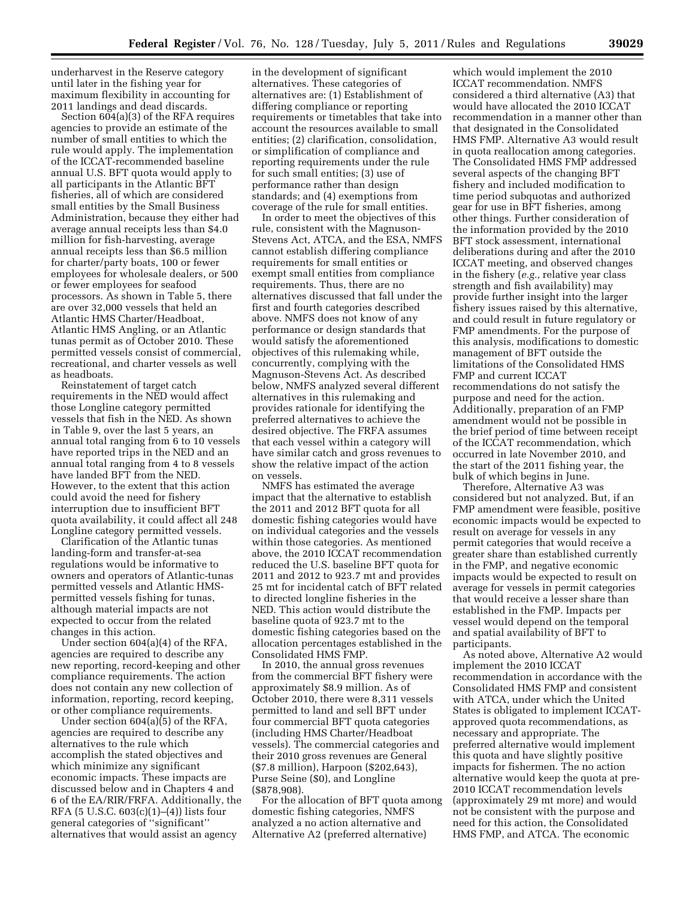underharvest in the Reserve category until later in the fishing year for maximum flexibility in accounting for 2011 landings and dead discards.

Section  $604(a)(3)$  of the RFA requires agencies to provide an estimate of the number of small entities to which the rule would apply. The implementation of the ICCAT-recommended baseline annual U.S. BFT quota would apply to all participants in the Atlantic BFT fisheries, all of which are considered small entities by the Small Business Administration, because they either had average annual receipts less than \$4.0 million for fish-harvesting, average annual receipts less than \$6.5 million for charter/party boats, 100 or fewer employees for wholesale dealers, or 500 or fewer employees for seafood processors. As shown in Table 5, there are over 32,000 vessels that held an Atlantic HMS Charter/Headboat, Atlantic HMS Angling, or an Atlantic tunas permit as of October 2010. These permitted vessels consist of commercial, recreational, and charter vessels as well as headboats.

Reinstatement of target catch requirements in the NED would affect those Longline category permitted vessels that fish in the NED. As shown in Table 9, over the last 5 years, an annual total ranging from 6 to 10 vessels have reported trips in the NED and an annual total ranging from 4 to 8 vessels have landed BFT from the NED. However, to the extent that this action could avoid the need for fishery interruption due to insufficient BFT quota availability, it could affect all 248 Longline category permitted vessels.

Clarification of the Atlantic tunas landing-form and transfer-at-sea regulations would be informative to owners and operators of Atlantic-tunas permitted vessels and Atlantic HMSpermitted vessels fishing for tunas, although material impacts are not expected to occur from the related changes in this action.

Under section 604(a)(4) of the RFA, agencies are required to describe any new reporting, record-keeping and other compliance requirements. The action does not contain any new collection of information, reporting, record keeping, or other compliance requirements.

Under section 604(a)(5) of the RFA, agencies are required to describe any alternatives to the rule which accomplish the stated objectives and which minimize any significant economic impacts. These impacts are discussed below and in Chapters 4 and 6 of the EA/RIR/FRFA. Additionally, the RFA (5 U.S.C. 603(c)(1)–(4)) lists four general categories of ''significant'' alternatives that would assist an agency

in the development of significant alternatives. These categories of alternatives are: (1) Establishment of differing compliance or reporting requirements or timetables that take into account the resources available to small entities; (2) clarification, consolidation, or simplification of compliance and reporting requirements under the rule for such small entities; (3) use of performance rather than design standards; and (4) exemptions from coverage of the rule for small entities.

In order to meet the objectives of this rule, consistent with the Magnuson-Stevens Act, ATCA, and the ESA, NMFS cannot establish differing compliance requirements for small entities or exempt small entities from compliance requirements. Thus, there are no alternatives discussed that fall under the first and fourth categories described above. NMFS does not know of any performance or design standards that would satisfy the aforementioned objectives of this rulemaking while, concurrently, complying with the Magnuson-Stevens Act. As described below, NMFS analyzed several different alternatives in this rulemaking and provides rationale for identifying the preferred alternatives to achieve the desired objective. The FRFA assumes that each vessel within a category will have similar catch and gross revenues to show the relative impact of the action on vessels.

NMFS has estimated the average impact that the alternative to establish the 2011 and 2012 BFT quota for all domestic fishing categories would have on individual categories and the vessels within those categories. As mentioned above, the 2010 ICCAT recommendation reduced the U.S. baseline BFT quota for 2011 and 2012 to 923.7 mt and provides 25 mt for incidental catch of BFT related to directed longline fisheries in the NED. This action would distribute the baseline quota of 923.7 mt to the domestic fishing categories based on the allocation percentages established in the Consolidated HMS FMP.

In 2010, the annual gross revenues from the commercial BFT fishery were approximately \$8.9 million. As of October 2010, there were 8,311 vessels permitted to land and sell BFT under four commercial BFT quota categories (including HMS Charter/Headboat vessels). The commercial categories and their 2010 gross revenues are General (\$7.8 million), Harpoon (\$202,643), Purse Seine (\$0), and Longline (\$878,908).

For the allocation of BFT quota among domestic fishing categories, NMFS analyzed a no action alternative and Alternative A2 (preferred alternative)

which would implement the 2010 ICCAT recommendation. NMFS considered a third alternative (A3) that would have allocated the 2010 ICCAT recommendation in a manner other than that designated in the Consolidated HMS FMP. Alternative A3 would result in quota reallocation among categories. The Consolidated HMS FMP addressed several aspects of the changing BFT fishery and included modification to time period subquotas and authorized gear for use in BFT fisheries, among other things. Further consideration of the information provided by the 2010 BFT stock assessment, international deliberations during and after the 2010 ICCAT meeting, and observed changes in the fishery (*e.g.,* relative year class strength and fish availability) may provide further insight into the larger fishery issues raised by this alternative, and could result in future regulatory or FMP amendments. For the purpose of this analysis, modifications to domestic management of BFT outside the limitations of the Consolidated HMS FMP and current ICCAT recommendations do not satisfy the purpose and need for the action. Additionally, preparation of an FMP amendment would not be possible in the brief period of time between receipt of the ICCAT recommendation, which occurred in late November 2010, and the start of the 2011 fishing year, the bulk of which begins in June.

Therefore, Alternative A3 was considered but not analyzed. But, if an FMP amendment were feasible, positive economic impacts would be expected to result on average for vessels in any permit categories that would receive a greater share than established currently in the FMP, and negative economic impacts would be expected to result on average for vessels in permit categories that would receive a lesser share than established in the FMP. Impacts per vessel would depend on the temporal and spatial availability of BFT to participants.

As noted above, Alternative A2 would implement the 2010 ICCAT recommendation in accordance with the Consolidated HMS FMP and consistent with ATCA, under which the United States is obligated to implement ICCATapproved quota recommendations, as necessary and appropriate. The preferred alternative would implement this quota and have slightly positive impacts for fishermen. The no action alternative would keep the quota at pre-2010 ICCAT recommendation levels (approximately 29 mt more) and would not be consistent with the purpose and need for this action, the Consolidated HMS FMP, and ATCA. The economic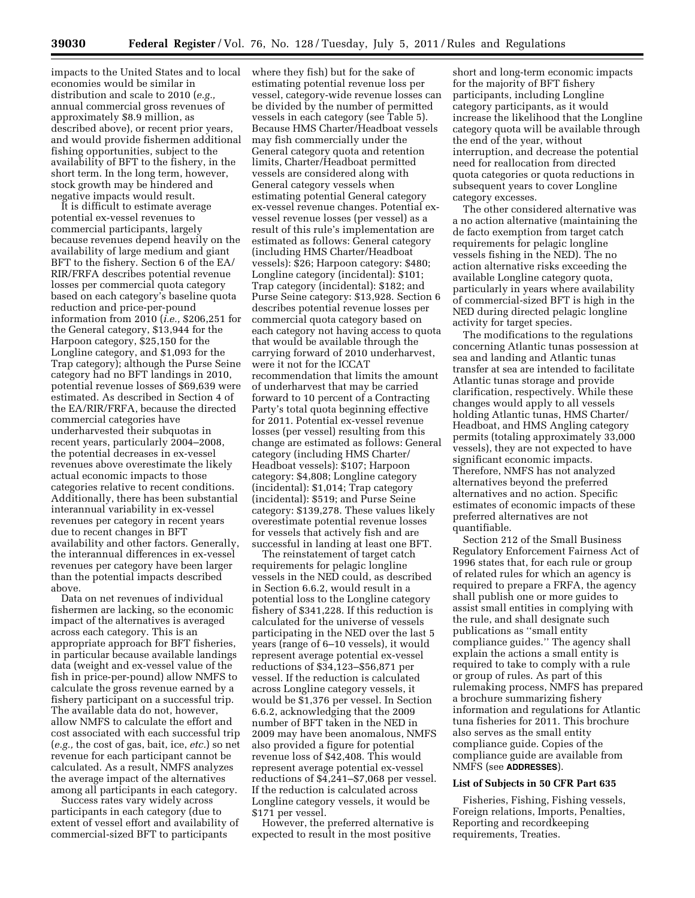impacts to the United States and to local economies would be similar in distribution and scale to 2010 (*e.g.,*  annual commercial gross revenues of approximately \$8.9 million, as described above), or recent prior years, and would provide fishermen additional fishing opportunities, subject to the availability of BFT to the fishery, in the short term. In the long term, however, stock growth may be hindered and negative impacts would result.

It is difficult to estimate average potential ex-vessel revenues to commercial participants, largely because revenues depend heavily on the availability of large medium and giant BFT to the fishery. Section 6 of the EA/ RIR/FRFA describes potential revenue losses per commercial quota category based on each category's baseline quota reduction and price-per-pound information from 2010 (*i.e.,* \$206,251 for the General category, \$13,944 for the Harpoon category, \$25,150 for the Longline category, and \$1,093 for the Trap category); although the Purse Seine category had no BFT landings in 2010, potential revenue losses of \$69,639 were estimated. As described in Section 4 of the EA/RIR/FRFA, because the directed commercial categories have underharvested their subquotas in recent years, particularly 2004–2008, the potential decreases in ex-vessel revenues above overestimate the likely actual economic impacts to those categories relative to recent conditions. Additionally, there has been substantial interannual variability in ex-vessel revenues per category in recent years due to recent changes in BFT availability and other factors. Generally, the interannual differences in ex-vessel revenues per category have been larger than the potential impacts described above.

Data on net revenues of individual fishermen are lacking, so the economic impact of the alternatives is averaged across each category. This is an appropriate approach for BFT fisheries, in particular because available landings data (weight and ex-vessel value of the fish in price-per-pound) allow NMFS to calculate the gross revenue earned by a fishery participant on a successful trip. The available data do not, however, allow NMFS to calculate the effort and cost associated with each successful trip (*e.g.,* the cost of gas, bait, ice, *etc.*) so net revenue for each participant cannot be calculated. As a result, NMFS analyzes the average impact of the alternatives among all participants in each category.

Success rates vary widely across participants in each category (due to extent of vessel effort and availability of commercial-sized BFT to participants

where they fish) but for the sake of estimating potential revenue loss per vessel, category-wide revenue losses can be divided by the number of permitted vessels in each category (see Table 5). Because HMS Charter/Headboat vessels may fish commercially under the General category quota and retention limits, Charter/Headboat permitted vessels are considered along with General category vessels when estimating potential General category ex-vessel revenue changes. Potential exvessel revenue losses (per vessel) as a result of this rule's implementation are estimated as follows: General category (including HMS Charter/Headboat vessels): \$26; Harpoon category: \$480; Longline category (incidental): \$101; Trap category (incidental): \$182; and Purse Seine category: \$13,928. Section 6 describes potential revenue losses per commercial quota category based on each category not having access to quota that would be available through the carrying forward of 2010 underharvest, were it not for the ICCAT recommendation that limits the amount of underharvest that may be carried forward to 10 percent of a Contracting Party's total quota beginning effective for 2011. Potential ex-vessel revenue losses (per vessel) resulting from this change are estimated as follows: General category (including HMS Charter/ Headboat vessels): \$107; Harpoon category: \$4,808; Longline category (incidental): \$1,014; Trap category (incidental): \$519; and Purse Seine category: \$139,278. These values likely overestimate potential revenue losses for vessels that actively fish and are successful in landing at least one BFT.

The reinstatement of target catch requirements for pelagic longline vessels in the NED could, as described in Section 6.6.2, would result in a potential loss to the Longline category fishery of \$341,228. If this reduction is calculated for the universe of vessels participating in the NED over the last 5 years (range of 6–10 vessels), it would represent average potential ex-vessel reductions of \$34,123–\$56,871 per vessel. If the reduction is calculated across Longline category vessels, it would be \$1,376 per vessel. In Section 6.6.2, acknowledging that the 2009 number of BFT taken in the NED in 2009 may have been anomalous, NMFS also provided a figure for potential revenue loss of \$42,408. This would represent average potential ex-vessel reductions of \$4,241–\$7,068 per vessel. If the reduction is calculated across Longline category vessels, it would be \$171 per vessel.

However, the preferred alternative is expected to result in the most positive

short and long-term economic impacts for the majority of BFT fishery participants, including Longline category participants, as it would increase the likelihood that the Longline category quota will be available through the end of the year, without interruption, and decrease the potential need for reallocation from directed quota categories or quota reductions in subsequent years to cover Longline category excesses.

The other considered alternative was a no action alternative (maintaining the de facto exemption from target catch requirements for pelagic longline vessels fishing in the NED). The no action alternative risks exceeding the available Longline category quota, particularly in years where availability of commercial-sized BFT is high in the NED during directed pelagic longline activity for target species.

The modifications to the regulations concerning Atlantic tunas possession at sea and landing and Atlantic tunas transfer at sea are intended to facilitate Atlantic tunas storage and provide clarification, respectively. While these changes would apply to all vessels holding Atlantic tunas, HMS Charter/ Headboat, and HMS Angling category permits (totaling approximately 33,000 vessels), they are not expected to have significant economic impacts. Therefore, NMFS has not analyzed alternatives beyond the preferred alternatives and no action. Specific estimates of economic impacts of these preferred alternatives are not quantifiable.

Section 212 of the Small Business Regulatory Enforcement Fairness Act of 1996 states that, for each rule or group of related rules for which an agency is required to prepare a FRFA, the agency shall publish one or more guides to assist small entities in complying with the rule, and shall designate such publications as ''small entity compliance guides.'' The agency shall explain the actions a small entity is required to take to comply with a rule or group of rules. As part of this rulemaking process, NMFS has prepared a brochure summarizing fishery information and regulations for Atlantic tuna fisheries for 2011. This brochure also serves as the small entity compliance guide. Copies of the compliance guide are available from NMFS (see **ADDRESSES**).

## **List of Subjects in 50 CFR Part 635**

Fisheries, Fishing, Fishing vessels, Foreign relations, Imports, Penalties, Reporting and recordkeeping requirements, Treaties.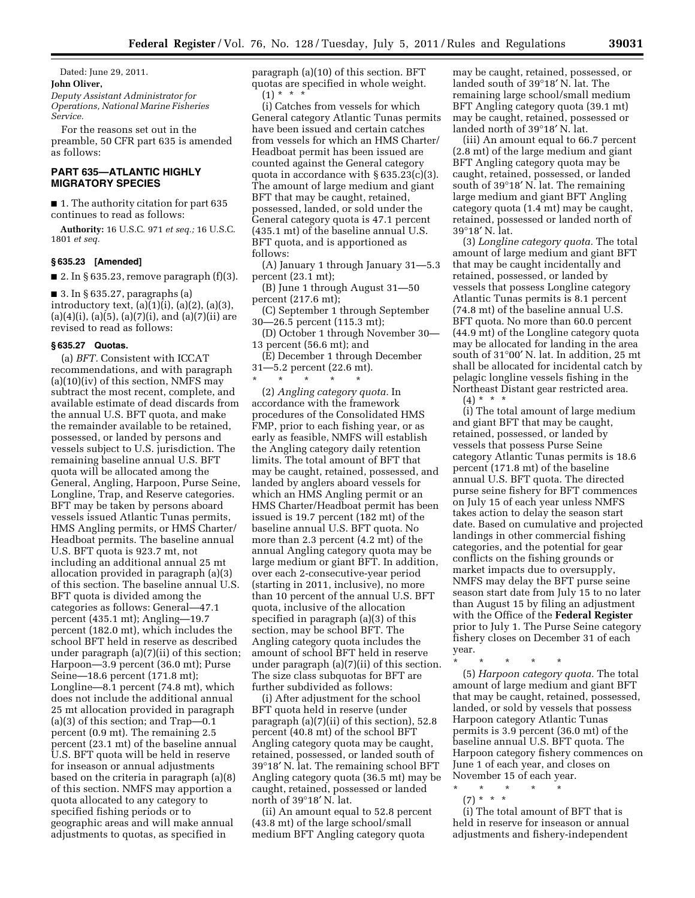Dated: June 29, 2011. **John Oliver,**  *Deputy Assistant Administrator for Operations, National Marine Fisheries Service.* 

For the reasons set out in the preamble, 50 CFR part 635 is amended as follows:

# **PART 635—ATLANTIC HIGHLY MIGRATORY SPECIES**

■ 1. The authority citation for part 635 continues to read as follows:

**Authority:** 16 U.S.C. 971 *et seq.;* 16 U.S.C. 1801 *et seq.* 

# **§ 635.23 [Amended]**

■ 2. In § 635.23, remove paragraph  $(f)(3)$ .

■ 3. In § 635.27, paragraphs (a) introductory text, (a)(1)(i), (a)(2), (a)(3),  $(a)(4)(i)$ ,  $(a)(5)$ ,  $(a)(7)(i)$ , and  $(a)(7)(ii)$  are revised to read as follows:

# **§ 635.27 Quotas.**

(a) *BFT.* Consistent with ICCAT recommendations, and with paragraph (a)(10)(iv) of this section, NMFS may subtract the most recent, complete, and available estimate of dead discards from the annual U.S. BFT quota, and make the remainder available to be retained, possessed, or landed by persons and vessels subject to U.S. jurisdiction. The remaining baseline annual U.S. BFT quota will be allocated among the General, Angling, Harpoon, Purse Seine, Longline, Trap, and Reserve categories. BFT may be taken by persons aboard vessels issued Atlantic Tunas permits, HMS Angling permits, or HMS Charter/ Headboat permits. The baseline annual U.S. BFT quota is 923.7 mt, not including an additional annual 25 mt allocation provided in paragraph (a)(3) of this section. The baseline annual U.S. BFT quota is divided among the categories as follows: General—47.1 percent (435.1 mt); Angling—19.7 percent (182.0 mt), which includes the school BFT held in reserve as described under paragraph (a)(7)(ii) of this section; Harpoon—3.9 percent (36.0 mt); Purse Seine—18.6 percent (171.8 mt); Longline—8.1 percent (74.8 mt), which does not include the additional annual 25 mt allocation provided in paragraph (a)(3) of this section; and Trap—0.1 percent (0.9 mt). The remaining 2.5 percent (23.1 mt) of the baseline annual U.S. BFT quota will be held in reserve for inseason or annual adjustments based on the criteria in paragraph (a)(8) of this section. NMFS may apportion a quota allocated to any category to specified fishing periods or to geographic areas and will make annual adjustments to quotas, as specified in

paragraph (a)(10) of this section. BFT quotas are specified in whole weight.  $(1) * * * *$ 

(i) Catches from vessels for which General category Atlantic Tunas permits have been issued and certain catches from vessels for which an HMS Charter/ Headboat permit has been issued are counted against the General category quota in accordance with § 635.23(c)(3). The amount of large medium and giant BFT that may be caught, retained, possessed, landed, or sold under the General category quota is 47.1 percent (435.1 mt) of the baseline annual U.S. BFT quota, and is apportioned as follows:

(A) January 1 through January 31—5.3 percent (23.1 mt);

(B) June 1 through August 31—50 percent (217.6 mt);

(C) September 1 through September 30—26.5 percent (115.3 mt);

(D) October 1 through November 30— 13 percent (56.6 mt); and

(E) December 1 through December 31—5.2 percent (22.6 mt).

\* \* \* \* \*

(2) *Angling category quota.* In accordance with the framework procedures of the Consolidated HMS FMP, prior to each fishing year, or as early as feasible, NMFS will establish the Angling category daily retention limits. The total amount of BFT that may be caught, retained, possessed, and landed by anglers aboard vessels for which an HMS Angling permit or an HMS Charter/Headboat permit has been issued is 19.7 percent (182 mt) of the baseline annual U.S. BFT quota. No more than 2.3 percent (4.2 mt) of the annual Angling category quota may be large medium or giant BFT. In addition, over each 2-consecutive-year period (starting in 2011, inclusive), no more than 10 percent of the annual U.S. BFT quota, inclusive of the allocation specified in paragraph (a)(3) of this section, may be school BFT. The Angling category quota includes the amount of school BFT held in reserve under paragraph (a)(7)(ii) of this section. The size class subquotas for BFT are further subdivided as follows:

(i) After adjustment for the school BFT quota held in reserve (under paragraph (a)(7)(ii) of this section), 52.8 percent (40.8 mt) of the school BFT Angling category quota may be caught, retained, possessed, or landed south of 39°18′ N. lat. The remaining school BFT Angling category quota (36.5 mt) may be caught, retained, possessed or landed north of 39°18′ N. lat.

(ii) An amount equal to 52.8 percent (43.8 mt) of the large school/small medium BFT Angling category quota

may be caught, retained, possessed, or landed south of 39°18′ N. lat. The remaining large school/small medium BFT Angling category quota (39.1 mt) may be caught, retained, possessed or landed north of 39°18′ N. lat.

(iii) An amount equal to 66.7 percent (2.8 mt) of the large medium and giant BFT Angling category quota may be caught, retained, possessed, or landed south of 39°18′ N. lat. The remaining large medium and giant BFT Angling category quota (1.4 mt) may be caught, retained, possessed or landed north of 39°18′ N. lat.

(3) *Longline category quota.* The total amount of large medium and giant BFT that may be caught incidentally and retained, possessed, or landed by vessels that possess Longline category Atlantic Tunas permits is 8.1 percent (74.8 mt) of the baseline annual U.S. BFT quota. No more than 60.0 percent (44.9 mt) of the Longline category quota may be allocated for landing in the area south of 31°00′ N. lat. In addition, 25 mt shall be allocated for incidental catch by pelagic longline vessels fishing in the Northeast Distant gear restricted area.

 $(4) * * * *$ 

(i) The total amount of large medium and giant BFT that may be caught, retained, possessed, or landed by vessels that possess Purse Seine category Atlantic Tunas permits is 18.6 percent (171.8 mt) of the baseline annual U.S. BFT quota. The directed purse seine fishery for BFT commences on July 15 of each year unless NMFS takes action to delay the season start date. Based on cumulative and projected landings in other commercial fishing categories, and the potential for gear conflicts on the fishing grounds or market impacts due to oversupply, NMFS may delay the BFT purse seine season start date from July 15 to no later than August 15 by filing an adjustment with the Office of the **Federal Register**  prior to July 1. The Purse Seine category fishery closes on December 31 of each year.

\* \* \* \* \* (5) *Harpoon category quota.* The total amount of large medium and giant BFT that may be caught, retained, possessed, landed, or sold by vessels that possess Harpoon category Atlantic Tunas permits is 3.9 percent (36.0 mt) of the baseline annual U.S. BFT quota. The Harpoon category fishery commences on June 1 of each year, and closes on November 15 of each year.

\* \* \* \* \*

(7) \* \* \*

(i) The total amount of BFT that is held in reserve for inseason or annual adjustments and fishery-independent